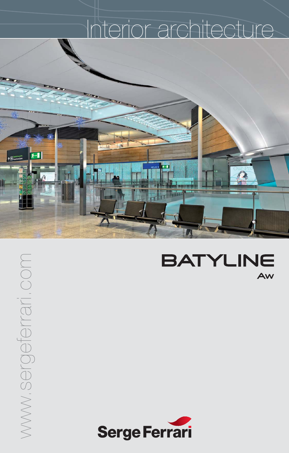## Interior architecture



WWW.Sergeferrari.com www.sergeferrari.com

 $f -$ 

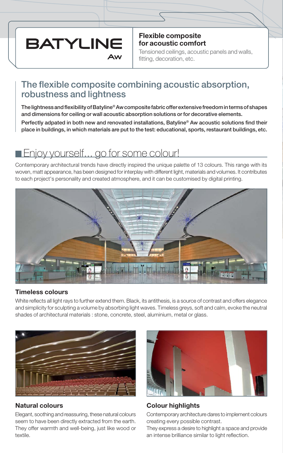## **BATYLINE**

**Flexible composite for acoustic comfort**

Tensioned ceilings, acoustic panels and walls, fitting, decoration, etc.

## **The flexible composite combining acoustic absorption, robustness and lightness**

**The lightness and flexibility of Batyline® Aw composite fabric offer extensive freedom in terms of shapes and dimensions for ceiling or wall acoustic absorption solutions or for decorative elements.**

**Perfectly adpated in both new and renovated installations, Batyline® Aw acoustic solutions find their place in buildings, in which materials are put to the test: educational, sports, restaurant buildings, etc.**

## **Enjoy yourself...** go for some colour!

Contemporary architectural trends have directly inspired the unique palette of 13 colours. This range with its woven, matt appearance, has been designed for interplay with different light, materials and volumes. It contributes to each project's personality and created atmosphere, and it can be customised by digital printing.



#### **Timeless colours**

White reflects all light rays to further extend them. Black, its antithesis, is a source of contrast and offers elegance and simplicity for sculpting a volume by absorbing light waves. Timeless greys, soft and calm, evoke the neutral shades of architectural materials : stone, concrete, steel, aluminium, metal or glass.



#### **Natural colours**

Elegant, soothing and reassuring, these natural colours seem to have been directly extracted from the earth. They offer warmth and well-being, just like wood or textile.



#### **Colour highlights**

Contemporary architecture dares to implement colours creating every possible contrast.

They express a desire to highlight a space and provide an intense brilliance similar to light reflection.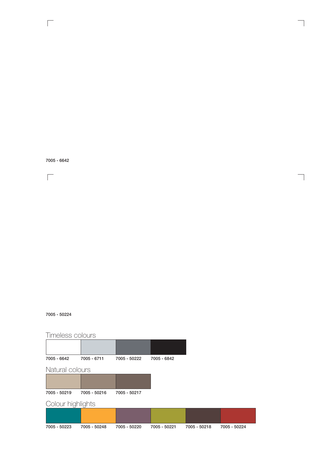**7005 - 6642**

 $\sqrt{2}$ 

 $\sqrt{2}$ 

#### **7005 - 50224**

### Timeless colours

| 7005 - 6642       | 7005 - 6711  | 7005 - 50222 | 7005 - 6842  |              |
|-------------------|--------------|--------------|--------------|--------------|
|                   |              |              |              |              |
| Natural colours   |              |              |              |              |
|                   |              |              |              |              |
| 7005 - 50219      | 7005 - 50216 | 7005 - 50217 |              |              |
|                   |              |              |              |              |
| Colour highlights |              |              |              |              |
|                   |              |              |              |              |
| 7005 - 50223      | 7005 - 50248 | 7005 - 50220 | 7005 - 50221 | 7005 - 50218 |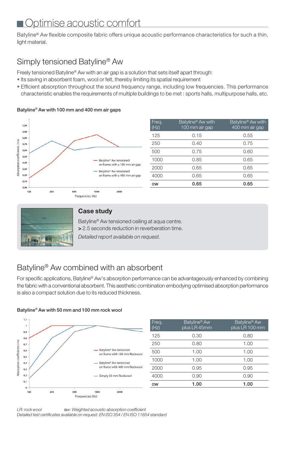## Optimise acoustic comfort

Batyline® Aw flexible composite fabric offers unique acoustic performance characteristics for such a thin, light material.

### Simply tensioned Batyline® Aw

**Batyline® Aw with 100 mm and 400 mm air gaps**

Freely tensioned Batyline® Aw with an air gap is a solution that sets itself apart through:

- Its saving in absorbent foam, wool or felt, thereby limiting its spatial requirement
- Efficient absorption throughout the sound frequency range, including low frequencies. This performance characteristic enables the requirements of multiple buildings to be met : sports halls, multipurpose halls, etc.



| Freq.<br>(Hz) | Batyline <sup>®</sup> Aw with<br>100 mm air gap | Batyline <sup>®</sup> Aw with<br>400 mm air gap |
|---------------|-------------------------------------------------|-------------------------------------------------|
| 125           | 0.15                                            | 0.55                                            |
| 250           | 0.40                                            | 0.75                                            |
| 500           | 0.75                                            | 0.60                                            |
| 1000          | 0.85                                            | 0.65                                            |
| 2000          | 0.65                                            | 0.65                                            |
| 4000          | 0.65                                            | 0.65                                            |
| $\alpha w$    | 0.65                                            | 0.65                                            |



#### **Case study**

Batyline® Aw tensioned ceiling at aqua centre. **>** 2.5 seconds reduction in reverberation time.

*Detailed report available on request.*

## Batyline® Aw combined with an absorbent

For specific applications, Batyline® Aw's absorption performance can be advantageously enhanced by combining the fabric with a conventional absorbent. This aesthetic combination embodying optimised absorption performance is also a compact solution due to its reduced thickness.

#### **Batyline® Aw with 50 mm and 100 mm rock wool**



LR: rock wool **a**w: Weighted acoustic absorption coefficient *Detailed test certificates available on request: EN ISO 354 / EN ISO 11654 standard*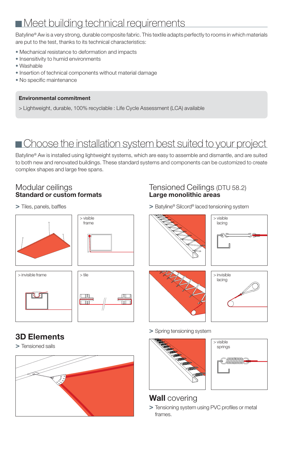## Meet building technical requirements

Batyline® Aw is a very strong, durable composite fabric. This textile adapts perfectly to rooms in which materials are put to the test, thanks to its technical characteristics:

- Mechanical resistance to deformation and impacts
- Insensitivity to humid environments
- $Washable$
- Insertion of technical components without material damage
- No specific maintenance

#### **Environmental commitment**

> Lightweight, durable, 100% recyclable : Life Cycle Assessment (LCA) available

## Choose the installation system best suited to your project

Batyline® Aw is installed using lightweight systems, which are easy to assemble and dismantle, and are suited to both new and renovated buildings. These standard systems and components can be customized to create complex shapes and large free spans.

#### Modular ceilings **Standard or custom formats**

**>** Tiles, panels, baffles







### $\Box$ mu  $\Box$  $\overline{\text{min}}$

## **3D Elements**

**>** Tensioned sails



#### Tensioned Ceilings (DTU 58.2) **Large monolithic areas**

**>** Batyline® Silcord® laced tensioning system

# > visible lacing





#### **>** Spring tensioning system





## **Wall** covering

**>** Tensioning system using PVC profiles or metal frames.